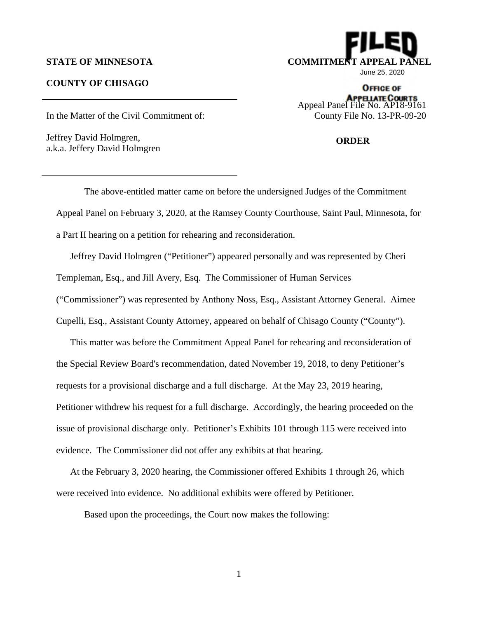## **COUNTY OF CHISAGO**

In the Matter of the Civil Commitment of:

Jeffrey David Holmgren, a.k.a. Jeffery David Holmgren

**STATE OF MINNESOTA COMMITMENT APPEAL PANEL**  June 25, 2020

> **OFFICE OF APPELATE COURTS**<br>Appeal Panel File No. AP18-9161 County File No. 13-PR-09-20

#### **ORDER**

The above-entitled matter came on before the undersigned Judges of the Commitment Appeal Panel on February 3, 2020, at the Ramsey County Courthouse, Saint Paul, Minnesota, for a Part II hearing on a petition for rehearing and reconsideration.

Jeffrey David Holmgren ("Petitioner") appeared personally and was represented by Cheri Templeman, Esq., and Jill Avery, Esq. The Commissioner of Human Services ("Commissioner") was represented by Anthony Noss, Esq., Assistant Attorney General. Aimee Cupelli, Esq., Assistant County Attorney, appeared on behalf of Chisago County ("County").

This matter was before the Commitment Appeal Panel for rehearing and reconsideration of the Special Review Board's recommendation, dated November 19, 2018, to deny Petitioner's requests for a provisional discharge and a full discharge. At the May 23, 2019 hearing, Petitioner withdrew his request for a full discharge. Accordingly, the hearing proceeded on the issue of provisional discharge only. Petitioner's Exhibits 101 through 115 were received into evidence. The Commissioner did not offer any exhibits at that hearing.

At the February 3, 2020 hearing, the Commissioner offered Exhibits 1 through 26, which were received into evidence. No additional exhibits were offered by Petitioner.

Based upon the proceedings, the Court now makes the following: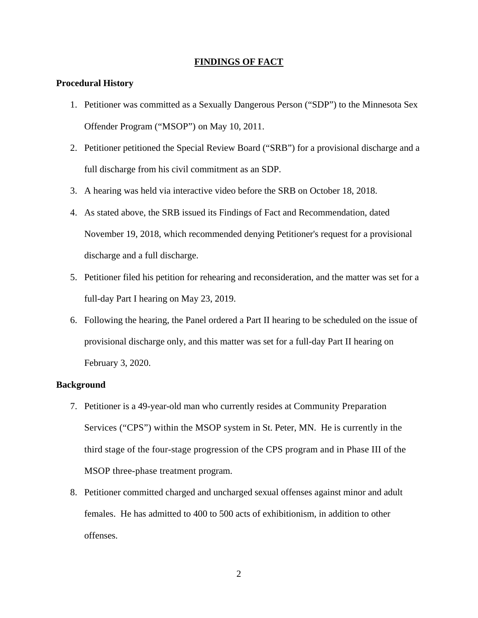## **FINDINGS OF FACT**

## **Procedural History**

- 1. Petitioner was committed as a Sexually Dangerous Person ("SDP") to the Minnesota Sex Offender Program ("MSOP") on May 10, 2011.
- 2. Petitioner petitioned the Special Review Board ("SRB") for a provisional discharge and a full discharge from his civil commitment as an SDP.
- 3. A hearing was held via interactive video before the SRB on October 18, 2018.
- 4. As stated above, the SRB issued its Findings of Fact and Recommendation, dated November 19, 2018, which recommended denying Petitioner's request for a provisional discharge and a full discharge.
- 5. Petitioner filed his petition for rehearing and reconsideration, and the matter was set for a full-day Part I hearing on May 23, 2019.
- 6. Following the hearing, the Panel ordered a Part II hearing to be scheduled on the issue of provisional discharge only, and this matter was set for a full-day Part II hearing on February 3, 2020.

## **Background**

- 7. Petitioner is a 49-year-old man who currently resides at Community Preparation Services ("CPS") within the MSOP system in St. Peter, MN. He is currently in the third stage of the four-stage progression of the CPS program and in Phase III of the MSOP three-phase treatment program.
- 8. Petitioner committed charged and uncharged sexual offenses against minor and adult females. He has admitted to 400 to 500 acts of exhibitionism, in addition to other offenses.

2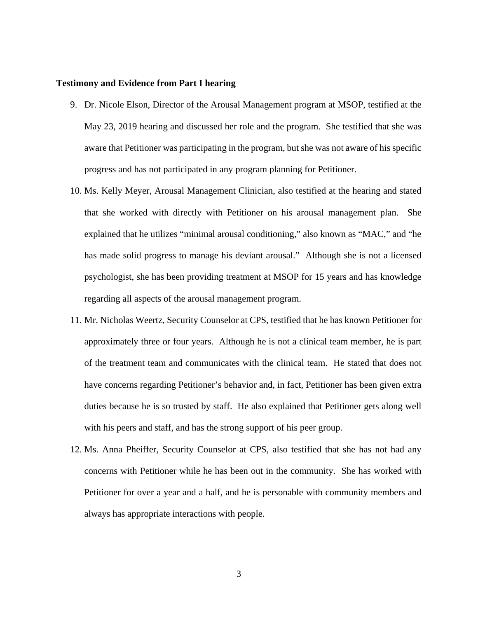## **Testimony and Evidence from Part I hearing**

- 9. Dr. Nicole Elson, Director of the Arousal Management program at MSOP, testified at the May 23, 2019 hearing and discussed her role and the program. She testified that she was aware that Petitioner was participating in the program, but she was not aware of his specific progress and has not participated in any program planning for Petitioner.
- 10. Ms. Kelly Meyer, Arousal Management Clinician, also testified at the hearing and stated that she worked with directly with Petitioner on his arousal management plan. She explained that he utilizes "minimal arousal conditioning," also known as "MAC," and "he has made solid progress to manage his deviant arousal." Although she is not a licensed psychologist, she has been providing treatment at MSOP for 15 years and has knowledge regarding all aspects of the arousal management program.
- 11. Mr. Nicholas Weertz, Security Counselor at CPS, testified that he has known Petitioner for approximately three or four years. Although he is not a clinical team member, he is part of the treatment team and communicates with the clinical team. He stated that does not have concerns regarding Petitioner's behavior and, in fact, Petitioner has been given extra duties because he is so trusted by staff. He also explained that Petitioner gets along well with his peers and staff, and has the strong support of his peer group.
- 12. Ms. Anna Pheiffer, Security Counselor at CPS, also testified that she has not had any concerns with Petitioner while he has been out in the community. She has worked with Petitioner for over a year and a half, and he is personable with community members and always has appropriate interactions with people.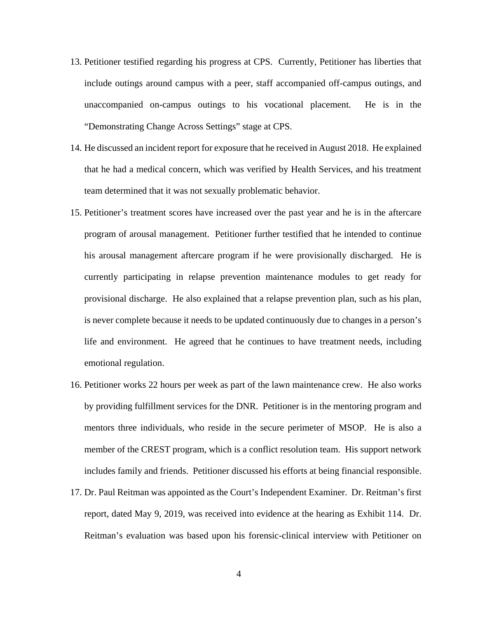- 13. Petitioner testified regarding his progress at CPS. Currently, Petitioner has liberties that include outings around campus with a peer, staff accompanied off-campus outings, and unaccompanied on-campus outings to his vocational placement. He is in the "Demonstrating Change Across Settings" stage at CPS.
- 14. He discussed an incident report for exposure that he received in August 2018. He explained that he had a medical concern, which was verified by Health Services, and his treatment team determined that it was not sexually problematic behavior.
- 15. Petitioner's treatment scores have increased over the past year and he is in the aftercare program of arousal management. Petitioner further testified that he intended to continue his arousal management aftercare program if he were provisionally discharged. He is currently participating in relapse prevention maintenance modules to get ready for provisional discharge. He also explained that a relapse prevention plan, such as his plan, is never complete because it needs to be updated continuously due to changes in a person's life and environment. He agreed that he continues to have treatment needs, including emotional regulation.
- 16. Petitioner works 22 hours per week as part of the lawn maintenance crew. He also works by providing fulfillment services for the DNR. Petitioner is in the mentoring program and mentors three individuals, who reside in the secure perimeter of MSOP. He is also a member of the CREST program, which is a conflict resolution team. His support network includes family and friends. Petitioner discussed his efforts at being financial responsible.
- 17. Dr. Paul Reitman was appointed as the Court's Independent Examiner. Dr. Reitman's first report, dated May 9, 2019, was received into evidence at the hearing as Exhibit 114. Dr. Reitman's evaluation was based upon his forensic-clinical interview with Petitioner on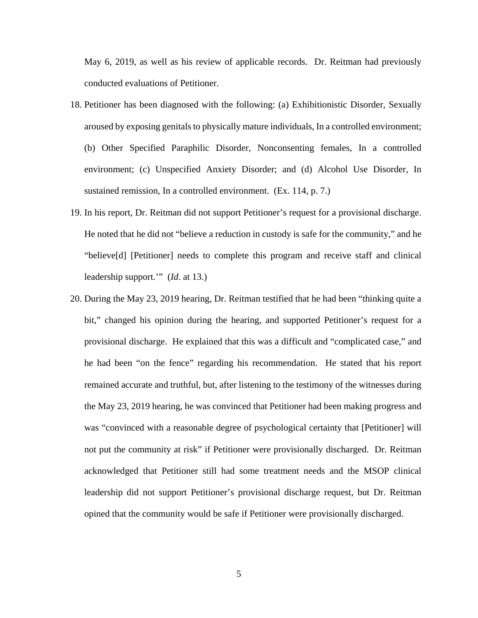May 6, 2019, as well as his review of applicable records. Dr. Reitman had previously conducted evaluations of Petitioner.

- 18. Petitioner has been diagnosed with the following: (a) Exhibitionistic Disorder, Sexually aroused by exposing genitals to physically mature individuals, In a controlled environment; (b) Other Specified Paraphilic Disorder, Nonconsenting females, In a controlled environment; (c) Unspecified Anxiety Disorder; and (d) Alcohol Use Disorder, In sustained remission, In a controlled environment. (Ex. 114, p. 7.)
- 19. In his report, Dr. Reitman did not support Petitioner's request for a provisional discharge. He noted that he did not "believe a reduction in custody is safe for the community," and he "believe[d] [Petitioner] needs to complete this program and receive staff and clinical leadership support.'" (*Id*. at 13.)
- 20. During the May 23, 2019 hearing, Dr. Reitman testified that he had been "thinking quite a bit," changed his opinion during the hearing, and supported Petitioner's request for a provisional discharge. He explained that this was a difficult and "complicated case," and he had been "on the fence" regarding his recommendation. He stated that his report remained accurate and truthful, but, after listening to the testimony of the witnesses during the May 23, 2019 hearing, he was convinced that Petitioner had been making progress and was "convinced with a reasonable degree of psychological certainty that [Petitioner] will not put the community at risk" if Petitioner were provisionally discharged. Dr. Reitman acknowledged that Petitioner still had some treatment needs and the MSOP clinical leadership did not support Petitioner's provisional discharge request, but Dr. Reitman opined that the community would be safe if Petitioner were provisionally discharged.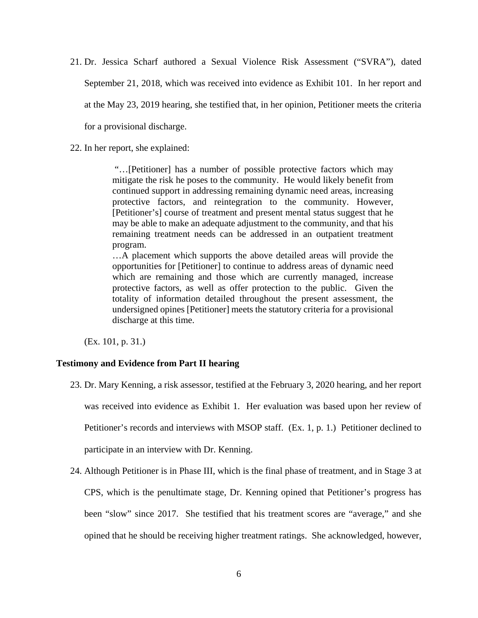- 21. Dr. Jessica Scharf authored a Sexual Violence Risk Assessment ("SVRA"), dated September 21, 2018, which was received into evidence as Exhibit 101. In her report and at the May 23, 2019 hearing, she testified that, in her opinion, Petitioner meets the criteria for a provisional discharge.
- 22. In her report, she explained:

 "…[Petitioner] has a number of possible protective factors which may mitigate the risk he poses to the community. He would likely benefit from continued support in addressing remaining dynamic need areas, increasing protective factors, and reintegration to the community. However, [Petitioner's] course of treatment and present mental status suggest that he may be able to make an adequate adjustment to the community, and that his remaining treatment needs can be addressed in an outpatient treatment program.

…A placement which supports the above detailed areas will provide the opportunities for [Petitioner] to continue to address areas of dynamic need which are remaining and those which are currently managed, increase protective factors, as well as offer protection to the public. Given the totality of information detailed throughout the present assessment, the undersigned opines [Petitioner] meets the statutory criteria for a provisional discharge at this time.

(Ex. 101, p. 31.)

## **Testimony and Evidence from Part II hearing**

- 23. Dr. Mary Kenning, a risk assessor, testified at the February 3, 2020 hearing, and her report was received into evidence as Exhibit 1. Her evaluation was based upon her review of Petitioner's records and interviews with MSOP staff. (Ex. 1, p. 1.) Petitioner declined to participate in an interview with Dr. Kenning.
- 24. Although Petitioner is in Phase III, which is the final phase of treatment, and in Stage 3 at CPS, which is the penultimate stage, Dr. Kenning opined that Petitioner's progress has been "slow" since 2017. She testified that his treatment scores are "average," and she opined that he should be receiving higher treatment ratings. She acknowledged, however,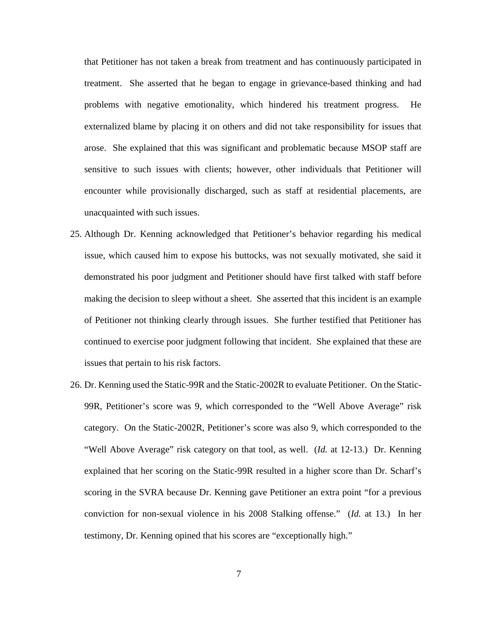that Petitioner has not taken a break from treatment and has continuously participated in treatment. She asserted that he began to engage in grievance-based thinking and had problems with negative emotionality, which hindered his treatment progress. He externalized blame by placing it on others and did not take responsibility for issues that arose. She explained that this was significant and problematic because MSOP staff are sensitive to such issues with clients; however, other individuals that Petitioner will encounter while provisionally discharged, such as staff at residential placements, are unacquainted with such issues.

- 25. Although Dr. Kenning acknowledged that Petitioner's behavior regarding his medical issue, which caused him to expose his buttocks, was not sexually motivated, she said it demonstrated his poor judgment and Petitioner should have first talked with staff before making the decision to sleep without a sheet. She asserted that this incident is an example of Petitioner not thinking clearly through issues. She further testified that Petitioner has continued to exercise poor judgment following that incident. She explained that these are issues that pertain to his risk factors.
- 26. Dr. Kenning used the Static-99R and the Static-2002R to evaluate Petitioner. On the Static-99R, Petitioner's score was 9, which corresponded to the "Well Above Average" risk category. On the Static-2002R, Petitioner's score was also 9, which corresponded to the "Well Above Average" risk category on that tool, as well. (*Id.* at 12-13.) Dr. Kenning explained that her scoring on the Static-99R resulted in a higher score than Dr. Scharf's scoring in the SVRA because Dr. Kenning gave Petitioner an extra point "for a previous conviction for non-sexual violence in his 2008 Stalking offense." (*Id.* at 13.) In her testimony, Dr. Kenning opined that his scores are "exceptionally high."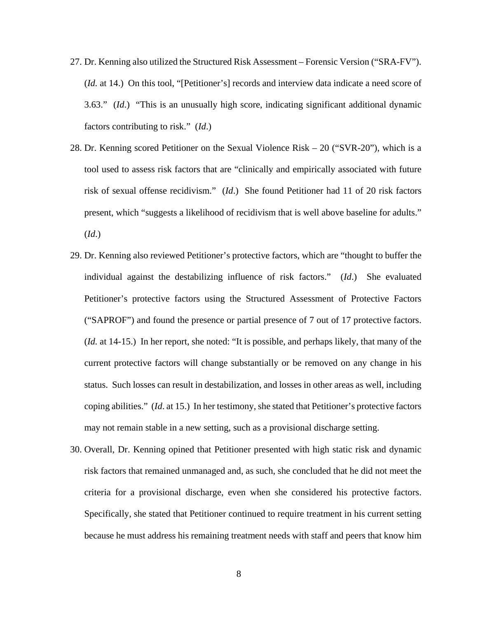- 27. Dr. Kenning also utilized the Structured Risk Assessment Forensic Version ("SRA-FV"). (*Id.* at 14.) On this tool, "[Petitioner's] records and interview data indicate a need score of 3.63." (*Id*.) "This is an unusually high score, indicating significant additional dynamic factors contributing to risk." (*Id*.)
- 28. Dr. Kenning scored Petitioner on the Sexual Violence Risk 20 ("SVR-20"), which is a tool used to assess risk factors that are "clinically and empirically associated with future risk of sexual offense recidivism." (*Id*.) She found Petitioner had 11 of 20 risk factors present, which "suggests a likelihood of recidivism that is well above baseline for adults." (*Id*.)
- 29. Dr. Kenning also reviewed Petitioner's protective factors, which are "thought to buffer the individual against the destabilizing influence of risk factors." (*Id*.) She evaluated Petitioner's protective factors using the Structured Assessment of Protective Factors ("SAPROF") and found the presence or partial presence of 7 out of 17 protective factors. (*Id.* at 14-15.) In her report, she noted: "It is possible, and perhaps likely, that many of the current protective factors will change substantially or be removed on any change in his status. Such losses can result in destabilization, and losses in other areas as well, including coping abilities." (*Id*. at 15.) In her testimony, she stated that Petitioner's protective factors may not remain stable in a new setting, such as a provisional discharge setting.
- 30. Overall, Dr. Kenning opined that Petitioner presented with high static risk and dynamic risk factors that remained unmanaged and, as such, she concluded that he did not meet the criteria for a provisional discharge, even when she considered his protective factors. Specifically, she stated that Petitioner continued to require treatment in his current setting because he must address his remaining treatment needs with staff and peers that know him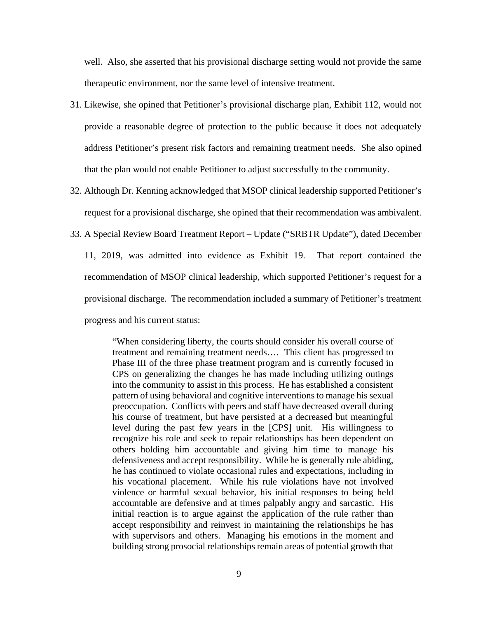well. Also, she asserted that his provisional discharge setting would not provide the same therapeutic environment, nor the same level of intensive treatment.

- 31. Likewise, she opined that Petitioner's provisional discharge plan, Exhibit 112, would not provide a reasonable degree of protection to the public because it does not adequately address Petitioner's present risk factors and remaining treatment needs. She also opined that the plan would not enable Petitioner to adjust successfully to the community.
- 32. Although Dr. Kenning acknowledged that MSOP clinical leadership supported Petitioner's request for a provisional discharge, she opined that their recommendation was ambivalent.
- 33. A Special Review Board Treatment Report Update ("SRBTR Update"), dated December 11, 2019, was admitted into evidence as Exhibit 19. That report contained the recommendation of MSOP clinical leadership, which supported Petitioner's request for a provisional discharge. The recommendation included a summary of Petitioner's treatment progress and his current status:

"When considering liberty, the courts should consider his overall course of treatment and remaining treatment needs…. This client has progressed to Phase III of the three phase treatment program and is currently focused in CPS on generalizing the changes he has made including utilizing outings into the community to assist in this process. He has established a consistent pattern of using behavioral and cognitive interventions to manage his sexual preoccupation. Conflicts with peers and staff have decreased overall during his course of treatment, but have persisted at a decreased but meaningful level during the past few years in the [CPS] unit. His willingness to recognize his role and seek to repair relationships has been dependent on others holding him accountable and giving him time to manage his defensiveness and accept responsibility. While he is generally rule abiding, he has continued to violate occasional rules and expectations, including in his vocational placement. While his rule violations have not involved violence or harmful sexual behavior, his initial responses to being held accountable are defensive and at times palpably angry and sarcastic. His initial reaction is to argue against the application of the rule rather than accept responsibility and reinvest in maintaining the relationships he has with supervisors and others. Managing his emotions in the moment and building strong prosocial relationships remain areas of potential growth that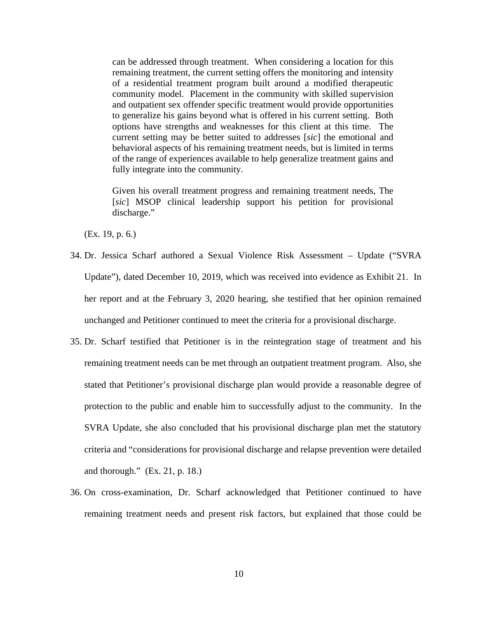can be addressed through treatment. When considering a location for this remaining treatment, the current setting offers the monitoring and intensity of a residential treatment program built around a modified therapeutic community model. Placement in the community with skilled supervision and outpatient sex offender specific treatment would provide opportunities to generalize his gains beyond what is offered in his current setting. Both options have strengths and weaknesses for this client at this time. The current setting may be better suited to addresses [*sic*] the emotional and behavioral aspects of his remaining treatment needs, but is limited in terms of the range of experiences available to help generalize treatment gains and fully integrate into the community.

Given his overall treatment progress and remaining treatment needs, The [*sic*] MSOP clinical leadership support his petition for provisional discharge."

(Ex. 19, p. 6.)

- 34. Dr. Jessica Scharf authored a Sexual Violence Risk Assessment Update ("SVRA Update"), dated December 10, 2019, which was received into evidence as Exhibit 21. In her report and at the February 3, 2020 hearing, she testified that her opinion remained unchanged and Petitioner continued to meet the criteria for a provisional discharge.
- 35. Dr. Scharf testified that Petitioner is in the reintegration stage of treatment and his remaining treatment needs can be met through an outpatient treatment program. Also, she stated that Petitioner's provisional discharge plan would provide a reasonable degree of protection to the public and enable him to successfully adjust to the community. In the SVRA Update, she also concluded that his provisional discharge plan met the statutory criteria and "considerations for provisional discharge and relapse prevention were detailed and thorough." (Ex. 21, p. 18.)
- 36. On cross-examination, Dr. Scharf acknowledged that Petitioner continued to have remaining treatment needs and present risk factors, but explained that those could be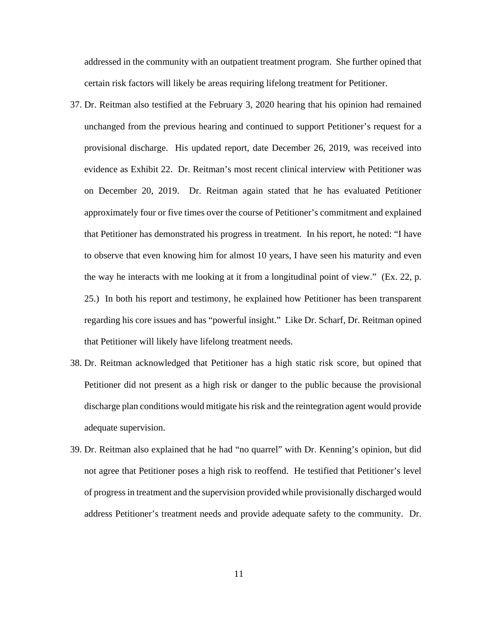addressed in the community with an outpatient treatment program. She further opined that certain risk factors will likely be areas requiring lifelong treatment for Petitioner.

- 37. Dr. Reitman also testified at the February 3, 2020 hearing that his opinion had remained unchanged from the previous hearing and continued to support Petitioner's request for a provisional discharge. His updated report, date December 26, 2019, was received into evidence as Exhibit 22. Dr. Reitman's most recent clinical interview with Petitioner was on December 20, 2019. Dr. Reitman again stated that he has evaluated Petitioner approximately four or five times over the course of Petitioner's commitment and explained that Petitioner has demonstrated his progress in treatment. In his report, he noted: "I have to observe that even knowing him for almost 10 years, I have seen his maturity and even the way he interacts with me looking at it from a longitudinal point of view." (Ex. 22, p. 25.) In both his report and testimony, he explained how Petitioner has been transparent regarding his core issues and has "powerful insight." Like Dr. Scharf, Dr. Reitman opined that Petitioner will likely have lifelong treatment needs.
- 38. Dr. Reitman acknowledged that Petitioner has a high static risk score, but opined that Petitioner did not present as a high risk or danger to the public because the provisional discharge plan conditions would mitigate his risk and the reintegration agent would provide adequate supervision.
- 39. Dr. Reitman also explained that he had "no quarrel" with Dr. Kenning's opinion, but did not agree that Petitioner poses a high risk to reoffend. He testified that Petitioner's level of progress in treatment and the supervision provided while provisionally discharged would address Petitioner's treatment needs and provide adequate safety to the community. Dr.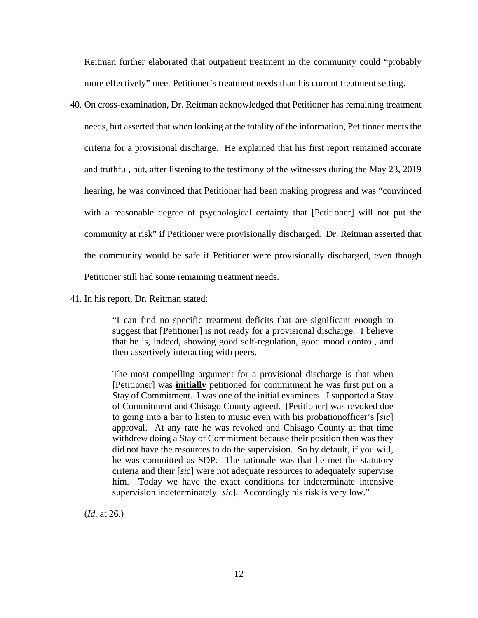Reitman further elaborated that outpatient treatment in the community could "probably more effectively" meet Petitioner's treatment needs than his current treatment setting.

- 40. On cross-examination, Dr. Reitman acknowledged that Petitioner has remaining treatment needs, but asserted that when looking at the totality of the information, Petitioner meets the criteria for a provisional discharge. He explained that his first report remained accurate and truthful, but, after listening to the testimony of the witnesses during the May 23, 2019 hearing, he was convinced that Petitioner had been making progress and was "convinced with a reasonable degree of psychological certainty that [Petitioner] will not put the community at risk" if Petitioner were provisionally discharged. Dr. Reitman asserted that the community would be safe if Petitioner were provisionally discharged, even though Petitioner still had some remaining treatment needs.
- 41. In his report, Dr. Reitman stated:

"I can find no specific treatment deficits that are significant enough to suggest that [Petitioner] is not ready for a provisional discharge. I believe that he is, indeed, showing good self-regulation, good mood control, and then assertively interacting with peers.

The most compelling argument for a provisional discharge is that when [Petitioner] was **initially** petitioned for commitment he was first put on a Stay of Commitment. I was one of the initial examiners. I supported a Stay of Commitment and Chisago County agreed. [Petitioner] was revoked due to going into a bar to listen to music even with his probationofficer's [*sic*] approval. At any rate he was revoked and Chisago County at that time withdrew doing a Stay of Commitment because their position then was they did not have the resources to do the supervision. So by default, if you will, he was committed as SDP. The rationale was that he met the statutory criteria and their [*sic*] were not adequate resources to adequately supervise him. Today we have the exact conditions for indeterminate intensive supervision indeterminately [*sic*]. Accordingly his risk is very low."

(*Id.* at 26.)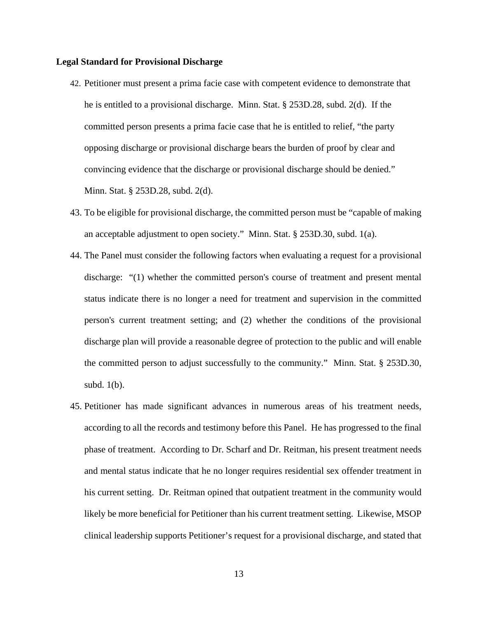#### **Legal Standard for Provisional Discharge**

- 42. Petitioner must present a prima facie case with competent evidence to demonstrate that he is entitled to a provisional discharge. Minn. Stat. § 253D.28, subd. 2(d). If the committed person presents a prima facie case that he is entitled to relief, "the party opposing discharge or provisional discharge bears the burden of proof by clear and convincing evidence that the discharge or provisional discharge should be denied." Minn. Stat. § 253D.28, subd. 2(d).
- 43. To be eligible for provisional discharge, the committed person must be "capable of making an acceptable adjustment to open society." Minn. Stat. § 253D.30, subd. 1(a).
- 44. The Panel must consider the following factors when evaluating a request for a provisional discharge: "(1) whether the committed person's course of treatment and present mental status indicate there is no longer a need for treatment and supervision in the committed person's current treatment setting; and (2) whether the conditions of the provisional discharge plan will provide a reasonable degree of protection to the public and will enable the committed person to adjust successfully to the community." Minn. Stat. § 253D.30, subd. 1(b).
- 45. Petitioner has made significant advances in numerous areas of his treatment needs, according to all the records and testimony before this Panel. He has progressed to the final phase of treatment. According to Dr. Scharf and Dr. Reitman, his present treatment needs and mental status indicate that he no longer requires residential sex offender treatment in his current setting. Dr. Reitman opined that outpatient treatment in the community would likely be more beneficial for Petitioner than his current treatment setting. Likewise, MSOP clinical leadership supports Petitioner's request for a provisional discharge, and stated that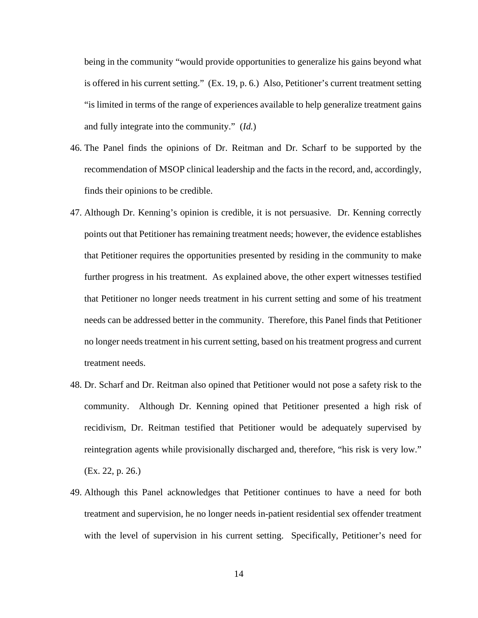being in the community "would provide opportunities to generalize his gains beyond what is offered in his current setting." (Ex. 19, p. 6.) Also, Petitioner's current treatment setting "is limited in terms of the range of experiences available to help generalize treatment gains and fully integrate into the community." (*Id.*)

- 46. The Panel finds the opinions of Dr. Reitman and Dr. Scharf to be supported by the recommendation of MSOP clinical leadership and the facts in the record, and, accordingly, finds their opinions to be credible.
- 47. Although Dr. Kenning's opinion is credible, it is not persuasive. Dr. Kenning correctly points out that Petitioner has remaining treatment needs; however, the evidence establishes that Petitioner requires the opportunities presented by residing in the community to make further progress in his treatment. As explained above, the other expert witnesses testified that Petitioner no longer needs treatment in his current setting and some of his treatment needs can be addressed better in the community. Therefore, this Panel finds that Petitioner no longer needs treatment in his current setting, based on his treatment progress and current treatment needs.
- 48. Dr. Scharf and Dr. Reitman also opined that Petitioner would not pose a safety risk to the community. Although Dr. Kenning opined that Petitioner presented a high risk of recidivism, Dr. Reitman testified that Petitioner would be adequately supervised by reintegration agents while provisionally discharged and, therefore, "his risk is very low." (Ex. 22, p. 26.)
- 49. Although this Panel acknowledges that Petitioner continues to have a need for both treatment and supervision, he no longer needs in-patient residential sex offender treatment with the level of supervision in his current setting. Specifically, Petitioner's need for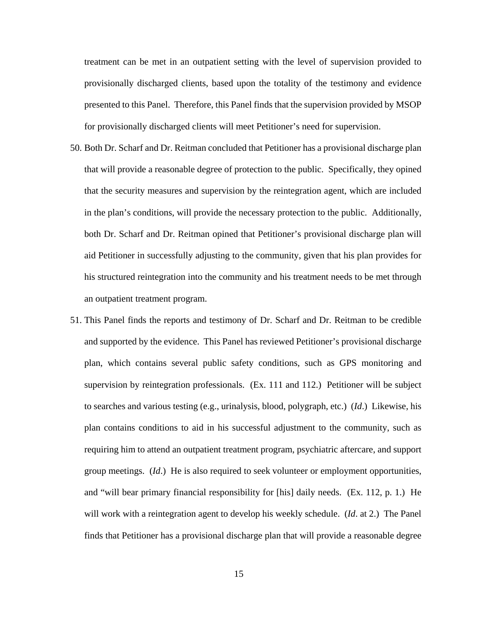treatment can be met in an outpatient setting with the level of supervision provided to provisionally discharged clients, based upon the totality of the testimony and evidence presented to this Panel. Therefore, this Panel finds that the supervision provided by MSOP for provisionally discharged clients will meet Petitioner's need for supervision.

- 50. Both Dr. Scharf and Dr. Reitman concluded that Petitioner has a provisional discharge plan that will provide a reasonable degree of protection to the public. Specifically, they opined that the security measures and supervision by the reintegration agent, which are included in the plan's conditions, will provide the necessary protection to the public. Additionally, both Dr. Scharf and Dr. Reitman opined that Petitioner's provisional discharge plan will aid Petitioner in successfully adjusting to the community, given that his plan provides for his structured reintegration into the community and his treatment needs to be met through an outpatient treatment program.
- 51. This Panel finds the reports and testimony of Dr. Scharf and Dr. Reitman to be credible and supported by the evidence. This Panel has reviewed Petitioner's provisional discharge plan, which contains several public safety conditions, such as GPS monitoring and supervision by reintegration professionals. (Ex. 111 and 112.) Petitioner will be subject to searches and various testing (e.g., urinalysis, blood, polygraph, etc.) (*Id*.) Likewise, his plan contains conditions to aid in his successful adjustment to the community, such as requiring him to attend an outpatient treatment program, psychiatric aftercare, and support group meetings. (*Id*.) He is also required to seek volunteer or employment opportunities, and "will bear primary financial responsibility for [his] daily needs. (Ex. 112, p. 1.) He will work with a reintegration agent to develop his weekly schedule. (*Id*. at 2.) The Panel finds that Petitioner has a provisional discharge plan that will provide a reasonable degree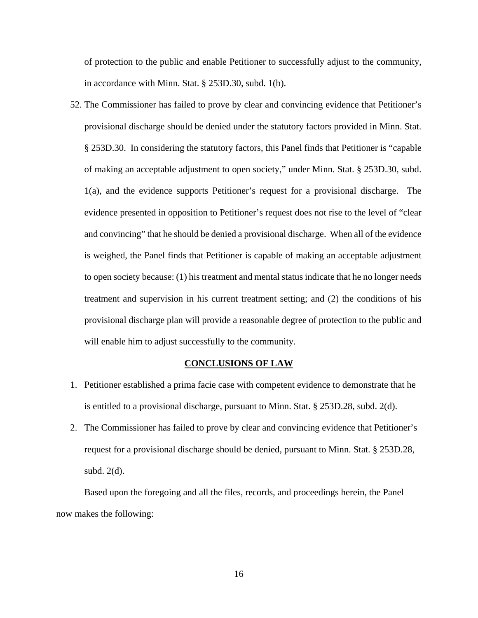of protection to the public and enable Petitioner to successfully adjust to the community, in accordance with Minn. Stat. § 253D.30, subd. 1(b).

52. The Commissioner has failed to prove by clear and convincing evidence that Petitioner's provisional discharge should be denied under the statutory factors provided in Minn. Stat. § 253D.30. In considering the statutory factors, this Panel finds that Petitioner is "capable of making an acceptable adjustment to open society," under Minn. Stat. § 253D.30, subd. 1(a), and the evidence supports Petitioner's request for a provisional discharge. The evidence presented in opposition to Petitioner's request does not rise to the level of "clear and convincing" that he should be denied a provisional discharge. When all of the evidence is weighed, the Panel finds that Petitioner is capable of making an acceptable adjustment to open society because: (1) his treatment and mental status indicate that he no longer needs treatment and supervision in his current treatment setting; and (2) the conditions of his provisional discharge plan will provide a reasonable degree of protection to the public and will enable him to adjust successfully to the community.

#### **CONCLUSIONS OF LAW**

- 1. Petitioner established a prima facie case with competent evidence to demonstrate that he is entitled to a provisional discharge, pursuant to Minn. Stat. § 253D.28, subd. 2(d).
- 2. The Commissioner has failed to prove by clear and convincing evidence that Petitioner's request for a provisional discharge should be denied, pursuant to Minn. Stat. § 253D.28, subd. 2(d).

Based upon the foregoing and all the files, records, and proceedings herein, the Panel now makes the following: